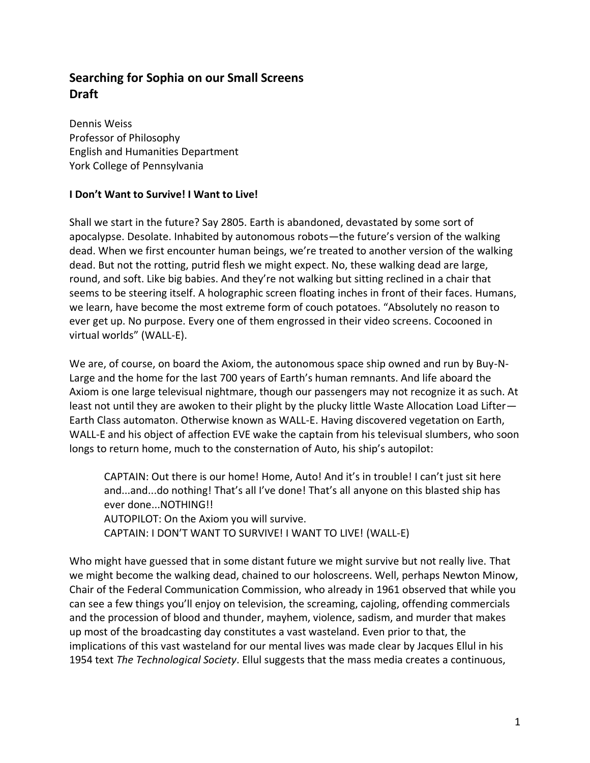# **Searching for Sophia on our Small Screens Draft**

Dennis Weiss Professor of Philosophy English and Humanities Department York College of Pennsylvania

# **I Don't Want to Survive! I Want to Live!**

Shall we start in the future? Say 2805. Earth is abandoned, devastated by some sort of apocalypse. Desolate. Inhabited by autonomous robots—the future's version of the walking dead. When we first encounter human beings, we're treated to another version of the walking dead. But not the rotting, putrid flesh we might expect. No, these walking dead are large, round, and soft. Like big babies. And they're not walking but sitting reclined in a chair that seems to be steering itself. A holographic screen floating inches in front of their faces. Humans, we learn, have become the most extreme form of couch potatoes. "Absolutely no reason to ever get up. No purpose. Every one of them engrossed in their video screens. Cocooned in virtual worlds" (WALL-E).

We are, of course, on board the Axiom, the autonomous space ship owned and run by Buy-N-Large and the home for the last 700 years of Earth's human remnants. And life aboard the Axiom is one large televisual nightmare, though our passengers may not recognize it as such. At least not until they are awoken to their plight by the plucky little Waste Allocation Load Lifter— Earth Class automaton. Otherwise known as WALL-E. Having discovered vegetation on Earth, WALL-E and his object of affection EVE wake the captain from his televisual slumbers, who soon longs to return home, much to the consternation of Auto, his ship's autopilot:

CAPTAIN: Out there is our home! Home, Auto! And it's in trouble! I can't just sit here and...and...do nothing! That's all I've done! That's all anyone on this blasted ship has ever done...NOTHING!! AUTOPILOT: On the Axiom you will survive. CAPTAIN: I DON'T WANT TO SURVIVE! I WANT TO LIVE! (WALL-E)

Who might have guessed that in some distant future we might survive but not really live. That we might become the walking dead, chained to our holoscreens. Well, perhaps Newton Minow, Chair of the Federal Communication Commission, who already in 1961 observed that while you can see a few things you'll enjoy on television, the screaming, cajoling, offending commercials and the procession of blood and thunder, mayhem, violence, sadism, and murder that makes up most of the broadcasting day constitutes a vast wasteland. Even prior to that, the implications of this vast wasteland for our mental lives was made clear by Jacques Ellul in his 1954 text *The Technological Society*. Ellul suggests that the mass media creates a continuous,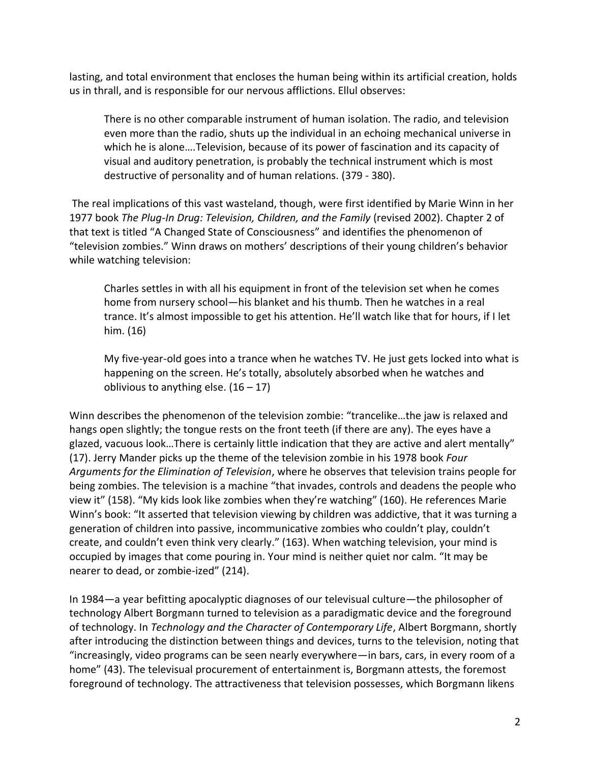lasting, and total environment that encloses the human being within its artificial creation, holds us in thrall, and is responsible for our nervous afflictions. Ellul observes:

There is no other comparable instrument of human isolation. The radio, and television even more than the radio, shuts up the individual in an echoing mechanical universe in which he is alone….Television, because of its power of fascination and its capacity of visual and auditory penetration, is probably the technical instrument which is most destructive of personality and of human relations. (379 - 380).

The real implications of this vast wasteland, though, were first identified by Marie Winn in her 1977 book *The Plug-In Drug: Television, Children, and the Family* (revised 2002). Chapter 2 of that text is titled "A Changed State of Consciousness" and identifies the phenomenon of "television zombies." Winn draws on mothers' descriptions of their young children's behavior while watching television:

Charles settles in with all his equipment in front of the television set when he comes home from nursery school—his blanket and his thumb. Then he watches in a real trance. It's almost impossible to get his attention. He'll watch like that for hours, if I let him. (16)

My five-year-old goes into a trance when he watches TV. He just gets locked into what is happening on the screen. He's totally, absolutely absorbed when he watches and oblivious to anything else.  $(16 - 17)$ 

Winn describes the phenomenon of the television zombie: "trancelike…the jaw is relaxed and hangs open slightly; the tongue rests on the front teeth (if there are any). The eyes have a glazed, vacuous look…There is certainly little indication that they are active and alert mentally" (17). Jerry Mander picks up the theme of the television zombie in his 1978 book *Four Arguments for the Elimination of Television*, where he observes that television trains people for being zombies. The television is a machine "that invades, controls and deadens the people who view it" (158). "My kids look like zombies when they're watching" (160). He references Marie Winn's book: "It asserted that television viewing by children was addictive, that it was turning a generation of children into passive, incommunicative zombies who couldn't play, couldn't create, and couldn't even think very clearly." (163). When watching television, your mind is occupied by images that come pouring in. Your mind is neither quiet nor calm. "It may be nearer to dead, or zombie-ized" (214).

In 1984—a year befitting apocalyptic diagnoses of our televisual culture—the philosopher of technology Albert Borgmann turned to television as a paradigmatic device and the foreground of technology. In *Technology and the Character of Contemporary Life*, Albert Borgmann, shortly after introducing the distinction between things and devices, turns to the television, noting that "increasingly, video programs can be seen nearly everywhere—in bars, cars, in every room of a home" (43). The televisual procurement of entertainment is, Borgmann attests, the foremost foreground of technology. The attractiveness that television possesses, which Borgmann likens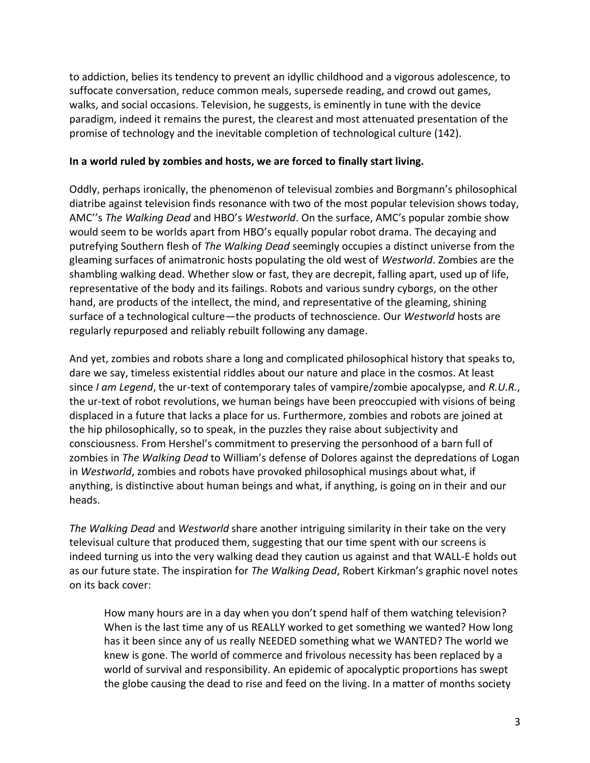to addiction, belies its tendency to prevent an idyllic childhood and a vigorous adolescence, to suffocate conversation, reduce common meals, supersede reading, and crowd out games, walks, and social occasions. Television, he suggests, is eminently in tune with the device paradigm, indeed it remains the purest, the clearest and most attenuated presentation of the promise of technology and the inevitable completion of technological culture (142).

#### **In a world ruled by zombies and hosts, we are forced to finally start living.**

Oddly, perhaps ironically, the phenomenon of televisual zombies and Borgmann's philosophical diatribe against television finds resonance with two of the most popular television shows today, AMC''s *The Walking Dead* and HBO's *Westworld*. On the surface, AMC's popular zombie show would seem to be worlds apart from HBO's equally popular robot drama. The decaying and putrefying Southern flesh of *The Walking Dead* seemingly occupies a distinct universe from the gleaming surfaces of animatronic hosts populating the old west of *Westworld*. Zombies are the shambling walking dead. Whether slow or fast, they are decrepit, falling apart, used up of life, representative of the body and its failings. Robots and various sundry cyborgs, on the other hand, are products of the intellect, the mind, and representative of the gleaming, shining surface of a technological culture—the products of technoscience. Our *Westworld* hosts are regularly repurposed and reliably rebuilt following any damage.

And yet, zombies and robots share a long and complicated philosophical history that speaks to, dare we say, timeless existential riddles about our nature and place in the cosmos. At least since *I am Legend*, the ur-text of contemporary tales of vampire/zombie apocalypse, and *R.U.R.*, the ur-text of robot revolutions, we human beings have been preoccupied with visions of being displaced in a future that lacks a place for us. Furthermore, zombies and robots are joined at the hip philosophically, so to speak, in the puzzles they raise about subjectivity and consciousness. From Hershel's commitment to preserving the personhood of a barn full of zombies in *The Walking Dead* to William's defense of Dolores against the depredations of Logan in *Westworld*, zombies and robots have provoked philosophical musings about what, if anything, is distinctive about human beings and what, if anything, is going on in their and our heads.

*The Walking Dead* and *Westworld* share another intriguing similarity in their take on the very televisual culture that produced them, suggesting that our time spent with our screens is indeed turning us into the very walking dead they caution us against and that WALL-E holds out as our future state. The inspiration for *The Walking Dead*, Robert Kirkman's graphic novel notes on its back cover:

How many hours are in a day when you don't spend half of them watching television? When is the last time any of us REALLY worked to get something we wanted? How long has it been since any of us really NEEDED something what we WANTED? The world we knew is gone. The world of commerce and frivolous necessity has been replaced by a world of survival and responsibility. An epidemic of apocalyptic proportions has swept the globe causing the dead to rise and feed on the living. In a matter of months society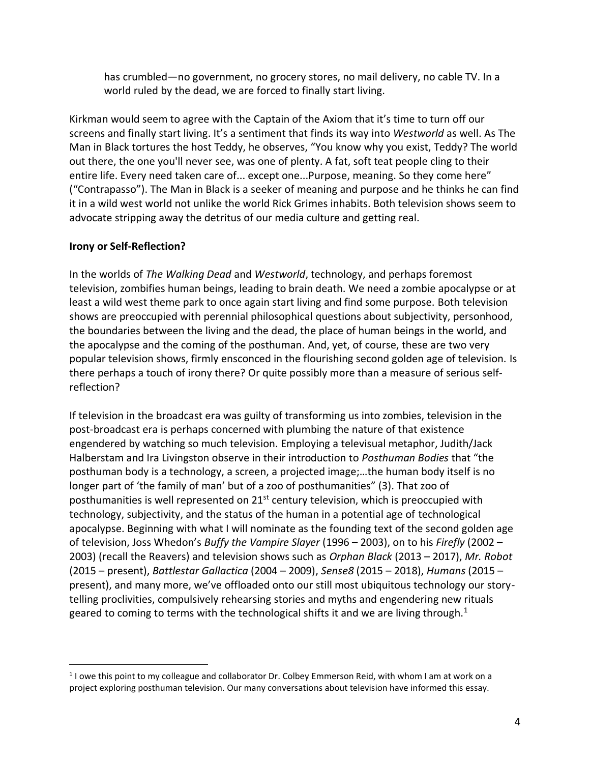has crumbled—no government, no grocery stores, no mail delivery, no cable TV. In a world ruled by the dead, we are forced to finally start living.

Kirkman would seem to agree with the Captain of the Axiom that it's time to turn off our screens and finally start living. It's a sentiment that finds its way into *Westworld* as well. As The Man in Black tortures the host Teddy, he observes, "You know why you exist, Teddy? The world out there, the one you'll never see, was one of plenty. A fat, soft teat people cling to their entire life. Every need taken care of... except one...Purpose, meaning. So they come here" ("Contrapasso"). The Man in Black is a seeker of meaning and purpose and he thinks he can find it in a wild west world not unlike the world Rick Grimes inhabits. Both television shows seem to advocate stripping away the detritus of our media culture and getting real.

# **Irony or Self-Reflection?**

 $\overline{a}$ 

In the worlds of *The Walking Dead* and *Westworld*, technology, and perhaps foremost television, zombifies human beings, leading to brain death. We need a zombie apocalypse or at least a wild west theme park to once again start living and find some purpose. Both television shows are preoccupied with perennial philosophical questions about subjectivity, personhood, the boundaries between the living and the dead, the place of human beings in the world, and the apocalypse and the coming of the posthuman. And, yet, of course, these are two very popular television shows, firmly ensconced in the flourishing second golden age of television. Is there perhaps a touch of irony there? Or quite possibly more than a measure of serious selfreflection?

If television in the broadcast era was guilty of transforming us into zombies, television in the post-broadcast era is perhaps concerned with plumbing the nature of that existence engendered by watching so much television. Employing a televisual metaphor, Judith/Jack Halberstam and Ira Livingston observe in their introduction to *Posthuman Bodies* that "the posthuman body is a technology, a screen, a projected image;…the human body itself is no longer part of 'the family of man' but of a zoo of posthumanities" (3). That zoo of posthumanities is well represented on 21<sup>st</sup> century television, which is preoccupied with technology, subjectivity, and the status of the human in a potential age of technological apocalypse. Beginning with what I will nominate as the founding text of the second golden age of television, Joss Whedon's *Buffy the Vampire Slayer* (1996 – 2003), on to his *Firefly* (2002 – 2003) (recall the Reavers) and television shows such as *Orphan Black* (2013 – 2017), *Mr. Robot* (2015 – present), *Battlestar Gallactica* (2004 – 2009), *Sense8* (2015 – 2018), *Humans* (2015 – present), and many more, we've offloaded onto our still most ubiquitous technology our storytelling proclivities, compulsively rehearsing stories and myths and engendering new rituals geared to coming to terms with the technological shifts it and we are living through.<sup>1</sup>

<sup>&</sup>lt;sup>1</sup> I owe this point to my colleague and collaborator Dr. Colbey Emmerson Reid, with whom I am at work on a project exploring posthuman television. Our many conversations about television have informed this essay.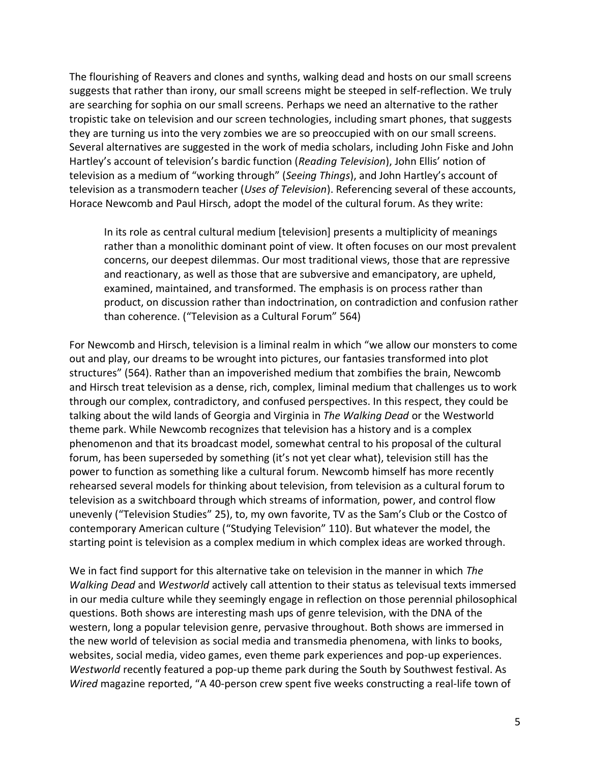The flourishing of Reavers and clones and synths, walking dead and hosts on our small screens suggests that rather than irony, our small screens might be steeped in self-reflection. We truly are searching for sophia on our small screens. Perhaps we need an alternative to the rather tropistic take on television and our screen technologies, including smart phones, that suggests they are turning us into the very zombies we are so preoccupied with on our small screens. Several alternatives are suggested in the work of media scholars, including John Fiske and John Hartley's account of television's bardic function (*Reading Television*), John Ellis' notion of television as a medium of "working through" (*Seeing Things*), and John Hartley's account of television as a transmodern teacher (*Uses of Television*). Referencing several of these accounts, Horace Newcomb and Paul Hirsch, adopt the model of the cultural forum. As they write:

In its role as central cultural medium [television] presents a multiplicity of meanings rather than a monolithic dominant point of view. It often focuses on our most prevalent concerns, our deepest dilemmas. Our most traditional views, those that are repressive and reactionary, as well as those that are subversive and emancipatory, are upheld, examined, maintained, and transformed. The emphasis is on process rather than product, on discussion rather than indoctrination, on contradiction and confusion rather than coherence. ("Television as a Cultural Forum" 564)

For Newcomb and Hirsch, television is a liminal realm in which "we allow our monsters to come out and play, our dreams to be wrought into pictures, our fantasies transformed into plot structures" (564). Rather than an impoverished medium that zombifies the brain, Newcomb and Hirsch treat television as a dense, rich, complex, liminal medium that challenges us to work through our complex, contradictory, and confused perspectives. In this respect, they could be talking about the wild lands of Georgia and Virginia in *The Walking Dead* or the Westworld theme park. While Newcomb recognizes that television has a history and is a complex phenomenon and that its broadcast model, somewhat central to his proposal of the cultural forum, has been superseded by something (it's not yet clear what), television still has the power to function as something like a cultural forum. Newcomb himself has more recently rehearsed several models for thinking about television, from television as a cultural forum to television as a switchboard through which streams of information, power, and control flow unevenly ("Television Studies" 25), to, my own favorite, TV as the Sam's Club or the Costco of contemporary American culture ("Studying Television" 110). But whatever the model, the starting point is television as a complex medium in which complex ideas are worked through.

We in fact find support for this alternative take on television in the manner in which *The Walking Dead* and *Westworld* actively call attention to their status as televisual texts immersed in our media culture while they seemingly engage in reflection on those perennial philosophical questions. Both shows are interesting mash ups of genre television, with the DNA of the western, long a popular television genre, pervasive throughout. Both shows are immersed in the new world of television as social media and transmedia phenomena, with links to books, websites, social media, video games, even theme park experiences and pop-up experiences. *Westworld* recently featured a pop-up theme park during the South by Southwest festival. As *Wired* magazine reported, "A 40-person crew spent five weeks constructing a real-life town of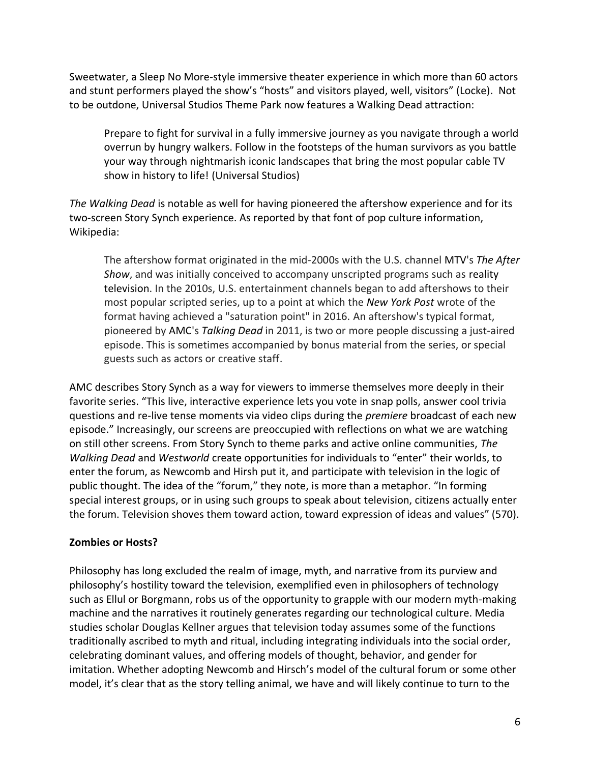Sweetwater, a Sleep No More-style immersive theater experience in which more than 60 actors and stunt performers played the show's "hosts" and visitors played, well, visitors" (Locke). Not to be outdone, Universal Studios Theme Park now features a Walking Dead attraction:

Prepare to fight for survival in a fully immersive journey as you navigate through a world overrun by hungry walkers. Follow in the footsteps of the human survivors as you battle your way through nightmarish iconic landscapes that bring the most popular cable TV show in history to life! (Universal Studios)

*The Walking Dead* is notable as well for having pioneered the aftershow experience and for its two-screen Story Synch experience. As reported by that font of pop culture information, Wikipedia:

The aftershow format originated in the mid-2000s with the U.S. channel MTV's *The After Show*, and was initially conceived to accompany unscripted programs such as reality television. In the 2010s, U.S. entertainment channels began to add aftershows to their most popular scripted series, up to a point at which the *New York Post* wrote of the format having achieved a "saturation point" in 2016. An aftershow's typical format, pioneered by AMC's *Talking Dead* in 2011, is two or more people discussing a just-aired episode. This is sometimes accompanied by bonus material from the series, or special guests such as actors or creative staff.

AMC describes Story Synch as a way for viewers to immerse themselves more deeply in their favorite series. "This live, interactive experience lets you vote in snap polls, answer cool trivia questions and re-live tense moments via video clips during the *premiere* broadcast of each new episode." Increasingly, our screens are preoccupied with reflections on what we are watching on still other screens. From Story Synch to theme parks and active online communities, *The Walking Dead* and *Westworld* create opportunities for individuals to "enter" their worlds, to enter the forum, as Newcomb and Hirsh put it, and participate with television in the logic of public thought. The idea of the "forum," they note, is more than a metaphor. "In forming special interest groups, or in using such groups to speak about television, citizens actually enter the forum. Television shoves them toward action, toward expression of ideas and values" (570).

# **Zombies or Hosts?**

Philosophy has long excluded the realm of image, myth, and narrative from its purview and philosophy's hostility toward the television, exemplified even in philosophers of technology such as Ellul or Borgmann, robs us of the opportunity to grapple with our modern myth-making machine and the narratives it routinely generates regarding our technological culture. Media studies scholar Douglas Kellner argues that television today assumes some of the functions traditionally ascribed to myth and ritual, including integrating individuals into the social order, celebrating dominant values, and offering models of thought, behavior, and gender for imitation. Whether adopting Newcomb and Hirsch's model of the cultural forum or some other model, it's clear that as the story telling animal, we have and will likely continue to turn to the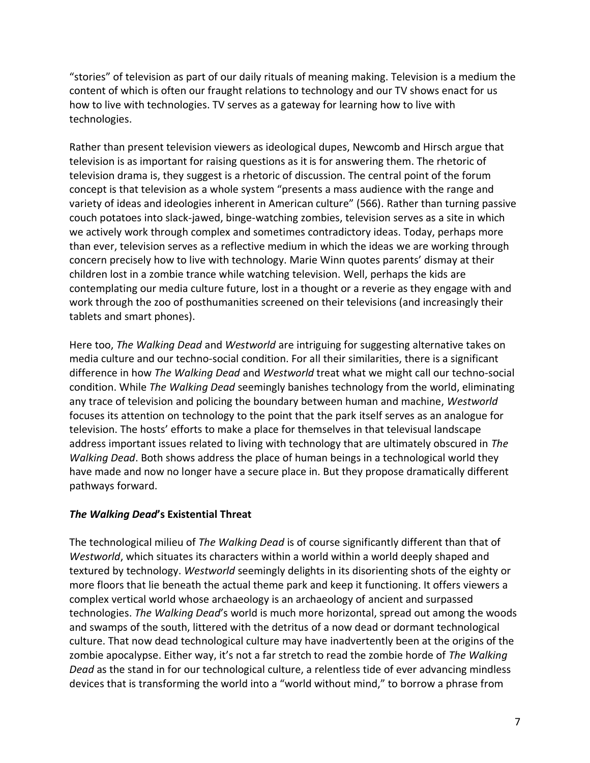"stories" of television as part of our daily rituals of meaning making. Television is a medium the content of which is often our fraught relations to technology and our TV shows enact for us how to live with technologies. TV serves as a gateway for learning how to live with technologies.

Rather than present television viewers as ideological dupes, Newcomb and Hirsch argue that television is as important for raising questions as it is for answering them. The rhetoric of television drama is, they suggest is a rhetoric of discussion. The central point of the forum concept is that television as a whole system "presents a mass audience with the range and variety of ideas and ideologies inherent in American culture" (566). Rather than turning passive couch potatoes into slack-jawed, binge-watching zombies, television serves as a site in which we actively work through complex and sometimes contradictory ideas. Today, perhaps more than ever, television serves as a reflective medium in which the ideas we are working through concern precisely how to live with technology. Marie Winn quotes parents' dismay at their children lost in a zombie trance while watching television. Well, perhaps the kids are contemplating our media culture future, lost in a thought or a reverie as they engage with and work through the zoo of posthumanities screened on their televisions (and increasingly their tablets and smart phones).

Here too, *The Walking Dead* and *Westworld* are intriguing for suggesting alternative takes on media culture and our techno-social condition. For all their similarities, there is a significant difference in how *The Walking Dead* and *Westworld* treat what we might call our techno-social condition. While *The Walking Dead* seemingly banishes technology from the world, eliminating any trace of television and policing the boundary between human and machine, *Westworld* focuses its attention on technology to the point that the park itself serves as an analogue for television. The hosts' efforts to make a place for themselves in that televisual landscape address important issues related to living with technology that are ultimately obscured in *The Walking Dead*. Both shows address the place of human beings in a technological world they have made and now no longer have a secure place in. But they propose dramatically different pathways forward.

# *The Walking Dead***'s Existential Threat**

The technological milieu of *The Walking Dead* is of course significantly different than that of *Westworld*, which situates its characters within a world within a world deeply shaped and textured by technology. *Westworld* seemingly delights in its disorienting shots of the eighty or more floors that lie beneath the actual theme park and keep it functioning. It offers viewers a complex vertical world whose archaeology is an archaeology of ancient and surpassed technologies. *The Walking Dead*'s world is much more horizontal, spread out among the woods and swamps of the south, littered with the detritus of a now dead or dormant technological culture. That now dead technological culture may have inadvertently been at the origins of the zombie apocalypse. Either way, it's not a far stretch to read the zombie horde of *The Walking Dead* as the stand in for our technological culture, a relentless tide of ever advancing mindless devices that is transforming the world into a "world without mind," to borrow a phrase from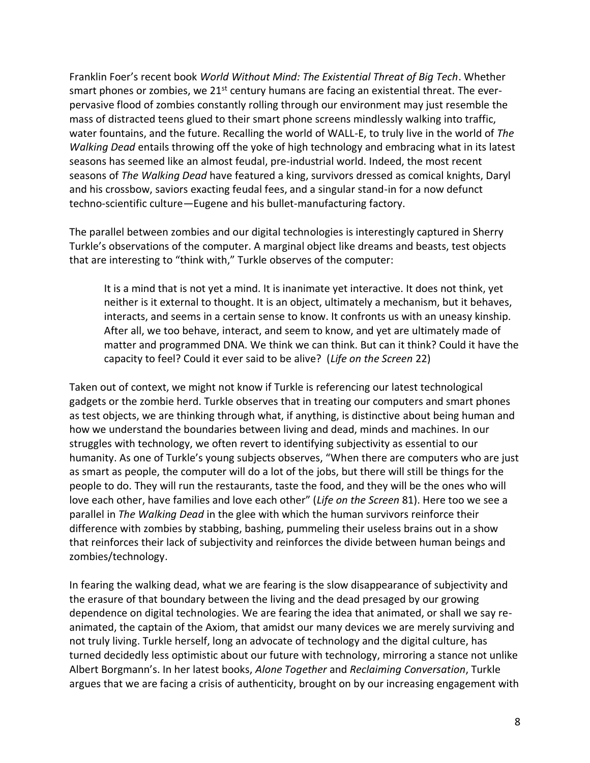Franklin Foer's recent book *World Without Mind: The Existential Threat of Big Tech*. Whether smart phones or zombies, we 21<sup>st</sup> century humans are facing an existential threat. The everpervasive flood of zombies constantly rolling through our environment may just resemble the mass of distracted teens glued to their smart phone screens mindlessly walking into traffic, water fountains, and the future. Recalling the world of WALL-E, to truly live in the world of *The Walking Dead* entails throwing off the yoke of high technology and embracing what in its latest seasons has seemed like an almost feudal, pre-industrial world. Indeed, the most recent seasons of *The Walking Dead* have featured a king, survivors dressed as comical knights, Daryl and his crossbow, saviors exacting feudal fees, and a singular stand-in for a now defunct techno-scientific culture—Eugene and his bullet-manufacturing factory.

The parallel between zombies and our digital technologies is interestingly captured in Sherry Turkle's observations of the computer. A marginal object like dreams and beasts, test objects that are interesting to "think with," Turkle observes of the computer:

It is a mind that is not yet a mind. It is inanimate yet interactive. It does not think, yet neither is it external to thought. It is an object, ultimately a mechanism, but it behaves, interacts, and seems in a certain sense to know. It confronts us with an uneasy kinship. After all, we too behave, interact, and seem to know, and yet are ultimately made of matter and programmed DNA. We think we can think. But can it think? Could it have the capacity to feel? Could it ever said to be alive? (*Life on the Screen* 22)

Taken out of context, we might not know if Turkle is referencing our latest technological gadgets or the zombie herd. Turkle observes that in treating our computers and smart phones as test objects, we are thinking through what, if anything, is distinctive about being human and how we understand the boundaries between living and dead, minds and machines. In our struggles with technology, we often revert to identifying subjectivity as essential to our humanity. As one of Turkle's young subjects observes, "When there are computers who are just as smart as people, the computer will do a lot of the jobs, but there will still be things for the people to do. They will run the restaurants, taste the food, and they will be the ones who will love each other, have families and love each other" (*Life on the Screen* 81). Here too we see a parallel in *The Walking Dead* in the glee with which the human survivors reinforce their difference with zombies by stabbing, bashing, pummeling their useless brains out in a show that reinforces their lack of subjectivity and reinforces the divide between human beings and zombies/technology.

In fearing the walking dead, what we are fearing is the slow disappearance of subjectivity and the erasure of that boundary between the living and the dead presaged by our growing dependence on digital technologies. We are fearing the idea that animated, or shall we say reanimated, the captain of the Axiom, that amidst our many devices we are merely surviving and not truly living. Turkle herself, long an advocate of technology and the digital culture, has turned decidedly less optimistic about our future with technology, mirroring a stance not unlike Albert Borgmann's. In her latest books, *Alone Together* and *Reclaiming Conversation*, Turkle argues that we are facing a crisis of authenticity, brought on by our increasing engagement with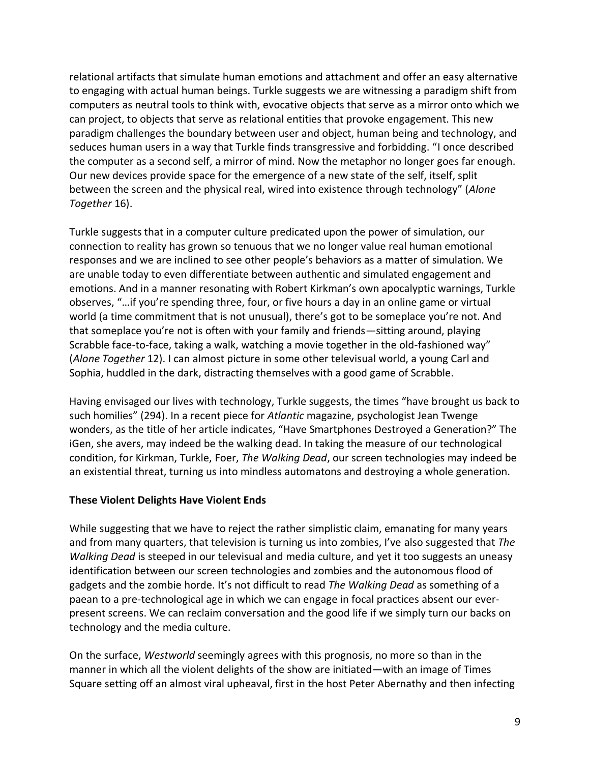relational artifacts that simulate human emotions and attachment and offer an easy alternative to engaging with actual human beings. Turkle suggests we are witnessing a paradigm shift from computers as neutral tools to think with, evocative objects that serve as a mirror onto which we can project, to objects that serve as relational entities that provoke engagement. This new paradigm challenges the boundary between user and object, human being and technology, and seduces human users in a way that Turkle finds transgressive and forbidding. "I once described the computer as a second self, a mirror of mind. Now the metaphor no longer goes far enough. Our new devices provide space for the emergence of a new state of the self, itself, split between the screen and the physical real, wired into existence through technology" (*Alone Together* 16).

Turkle suggests that in a computer culture predicated upon the power of simulation, our connection to reality has grown so tenuous that we no longer value real human emotional responses and we are inclined to see other people's behaviors as a matter of simulation. We are unable today to even differentiate between authentic and simulated engagement and emotions. And in a manner resonating with Robert Kirkman's own apocalyptic warnings, Turkle observes, "…if you're spending three, four, or five hours a day in an online game or virtual world (a time commitment that is not unusual), there's got to be someplace you're not. And that someplace you're not is often with your family and friends—sitting around, playing Scrabble face-to-face, taking a walk, watching a movie together in the old-fashioned way" (*Alone Together* 12). I can almost picture in some other televisual world, a young Carl and Sophia, huddled in the dark, distracting themselves with a good game of Scrabble.

Having envisaged our lives with technology, Turkle suggests, the times "have brought us back to such homilies" (294). In a recent piece for *Atlantic* magazine, psychologist Jean Twenge wonders, as the title of her article indicates, "Have Smartphones Destroyed a Generation?" The iGen, she avers, may indeed be the walking dead. In taking the measure of our technological condition, for Kirkman, Turkle, Foer, *The Walking Dead*, our screen technologies may indeed be an existential threat, turning us into mindless automatons and destroying a whole generation.

# **These Violent Delights Have Violent Ends**

While suggesting that we have to reject the rather simplistic claim, emanating for many years and from many quarters, that television is turning us into zombies, I've also suggested that *The Walking Dead* is steeped in our televisual and media culture, and yet it too suggests an uneasy identification between our screen technologies and zombies and the autonomous flood of gadgets and the zombie horde. It's not difficult to read *The Walking Dead* as something of a paean to a pre-technological age in which we can engage in focal practices absent our everpresent screens. We can reclaim conversation and the good life if we simply turn our backs on technology and the media culture.

On the surface, *Westworld* seemingly agrees with this prognosis, no more so than in the manner in which all the violent delights of the show are initiated—with an image of Times Square setting off an almost viral upheaval, first in the host Peter Abernathy and then infecting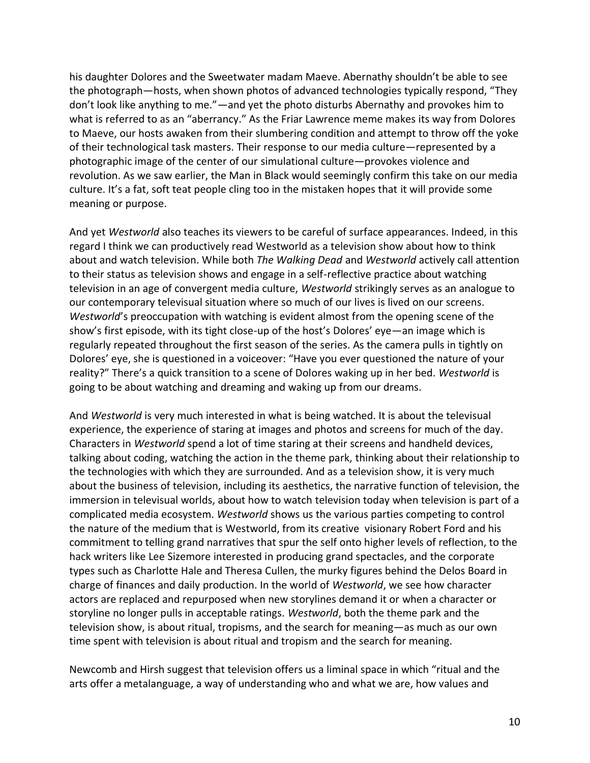his daughter Dolores and the Sweetwater madam Maeve. Abernathy shouldn't be able to see the photograph—hosts, when shown photos of advanced technologies typically respond, "They don't look like anything to me."—and yet the photo disturbs Abernathy and provokes him to what is referred to as an "aberrancy." As the Friar Lawrence meme makes its way from Dolores to Maeve, our hosts awaken from their slumbering condition and attempt to throw off the yoke of their technological task masters. Their response to our media culture—represented by a photographic image of the center of our simulational culture—provokes violence and revolution. As we saw earlier, the Man in Black would seemingly confirm this take on our media culture. It's a fat, soft teat people cling too in the mistaken hopes that it will provide some meaning or purpose.

And yet *Westworld* also teaches its viewers to be careful of surface appearances. Indeed, in this regard I think we can productively read Westworld as a television show about how to think about and watch television. While both *The Walking Dead* and *Westworld* actively call attention to their status as television shows and engage in a self-reflective practice about watching television in an age of convergent media culture, *Westworld* strikingly serves as an analogue to our contemporary televisual situation where so much of our lives is lived on our screens. *Westworld*'s preoccupation with watching is evident almost from the opening scene of the show's first episode, with its tight close-up of the host's Dolores' eye—an image which is regularly repeated throughout the first season of the series. As the camera pulls in tightly on Dolores' eye, she is questioned in a voiceover: "Have you ever questioned the nature of your reality?" There's a quick transition to a scene of Dolores waking up in her bed. *Westworld* is going to be about watching and dreaming and waking up from our dreams.

And *Westworld* is very much interested in what is being watched. It is about the televisual experience, the experience of staring at images and photos and screens for much of the day. Characters in *Westworld* spend a lot of time staring at their screens and handheld devices, talking about coding, watching the action in the theme park, thinking about their relationship to the technologies with which they are surrounded. And as a television show, it is very much about the business of television, including its aesthetics, the narrative function of television, the immersion in televisual worlds, about how to watch television today when television is part of a complicated media ecosystem. *Westworld* shows us the various parties competing to control the nature of the medium that is Westworld, from its creative visionary Robert Ford and his commitment to telling grand narratives that spur the self onto higher levels of reflection, to the hack writers like Lee Sizemore interested in producing grand spectacles, and the corporate types such as Charlotte Hale and Theresa Cullen, the murky figures behind the Delos Board in charge of finances and daily production. In the world of *Westworld*, we see how character actors are replaced and repurposed when new storylines demand it or when a character or storyline no longer pulls in acceptable ratings. *Westworld*, both the theme park and the television show, is about ritual, tropisms, and the search for meaning—as much as our own time spent with television is about ritual and tropism and the search for meaning.

Newcomb and Hirsh suggest that television offers us a liminal space in which "ritual and the arts offer a metalanguage, a way of understanding who and what we are, how values and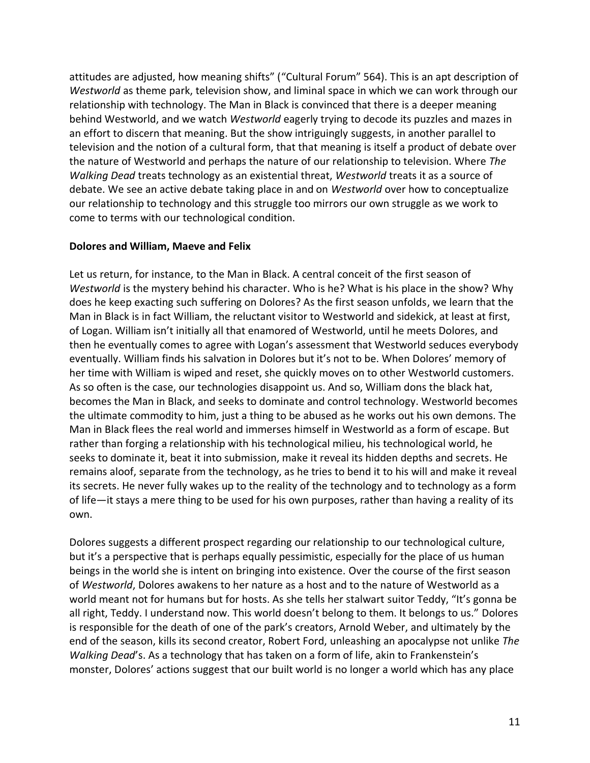attitudes are adjusted, how meaning shifts" ("Cultural Forum" 564). This is an apt description of *Westworld* as theme park, television show, and liminal space in which we can work through our relationship with technology. The Man in Black is convinced that there is a deeper meaning behind Westworld, and we watch *Westworld* eagerly trying to decode its puzzles and mazes in an effort to discern that meaning. But the show intriguingly suggests, in another parallel to television and the notion of a cultural form, that that meaning is itself a product of debate over the nature of Westworld and perhaps the nature of our relationship to television. Where *The Walking Dead* treats technology as an existential threat, *Westworld* treats it as a source of debate. We see an active debate taking place in and on *Westworld* over how to conceptualize our relationship to technology and this struggle too mirrors our own struggle as we work to come to terms with our technological condition.

#### **Dolores and William, Maeve and Felix**

Let us return, for instance, to the Man in Black. A central conceit of the first season of *Westworld* is the mystery behind his character. Who is he? What is his place in the show? Why does he keep exacting such suffering on Dolores? As the first season unfolds, we learn that the Man in Black is in fact William, the reluctant visitor to Westworld and sidekick, at least at first, of Logan. William isn't initially all that enamored of Westworld, until he meets Dolores, and then he eventually comes to agree with Logan's assessment that Westworld seduces everybody eventually. William finds his salvation in Dolores but it's not to be. When Dolores' memory of her time with William is wiped and reset, she quickly moves on to other Westworld customers. As so often is the case, our technologies disappoint us. And so, William dons the black hat, becomes the Man in Black, and seeks to dominate and control technology. Westworld becomes the ultimate commodity to him, just a thing to be abused as he works out his own demons. The Man in Black flees the real world and immerses himself in Westworld as a form of escape. But rather than forging a relationship with his technological milieu, his technological world, he seeks to dominate it, beat it into submission, make it reveal its hidden depths and secrets. He remains aloof, separate from the technology, as he tries to bend it to his will and make it reveal its secrets. He never fully wakes up to the reality of the technology and to technology as a form of life—it stays a mere thing to be used for his own purposes, rather than having a reality of its own.

Dolores suggests a different prospect regarding our relationship to our technological culture, but it's a perspective that is perhaps equally pessimistic, especially for the place of us human beings in the world she is intent on bringing into existence. Over the course of the first season of *Westworld*, Dolores awakens to her nature as a host and to the nature of Westworld as a world meant not for humans but for hosts. As she tells her stalwart suitor Teddy, "It's gonna be all right, Teddy. I understand now. This world doesn't belong to them. It belongs to us." Dolores is responsible for the death of one of the park's creators, Arnold Weber, and ultimately by the end of the season, kills its second creator, Robert Ford, unleashing an apocalypse not unlike *The Walking Dead*'s. As a technology that has taken on a form of life, akin to Frankenstein's monster, Dolores' actions suggest that our built world is no longer a world which has any place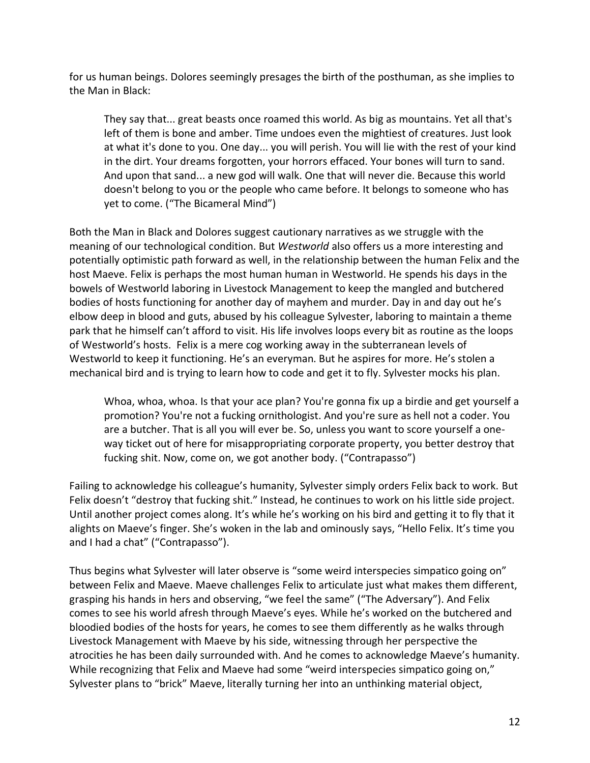for us human beings. Dolores seemingly presages the birth of the posthuman, as she implies to the Man in Black:

They say that... great beasts once roamed this world. As big as mountains. Yet all that's left of them is bone and amber. Time undoes even the mightiest of creatures. Just look at what it's done to you. One day... you will perish. You will lie with the rest of your kind in the dirt. Your dreams forgotten, your horrors effaced. Your bones will turn to sand. And upon that sand... a new god will walk. One that will never die. Because this world doesn't belong to you or the people who came before. It belongs to someone who has yet to come. ("The Bicameral Mind")

Both the Man in Black and Dolores suggest cautionary narratives as we struggle with the meaning of our technological condition. But *Westworld* also offers us a more interesting and potentially optimistic path forward as well, in the relationship between the human Felix and the host Maeve. Felix is perhaps the most human human in Westworld. He spends his days in the bowels of Westworld laboring in Livestock Management to keep the mangled and butchered bodies of hosts functioning for another day of mayhem and murder. Day in and day out he's elbow deep in blood and guts, abused by his colleague Sylvester, laboring to maintain a theme park that he himself can't afford to visit. His life involves loops every bit as routine as the loops of Westworld's hosts. Felix is a mere cog working away in the subterranean levels of Westworld to keep it functioning. He's an everyman. But he aspires for more. He's stolen a mechanical bird and is trying to learn how to code and get it to fly. Sylvester mocks his plan.

Whoa, whoa, whoa. Is that your ace plan? You're gonna fix up a birdie and get yourself a promotion? You're not a fucking ornithologist. And you're sure as hell not a coder. You are a butcher. That is all you will ever be. So, unless you want to score yourself a oneway ticket out of here for misappropriating corporate property, you better destroy that fucking shit. Now, come on, we got another body. ("Contrapasso")

Failing to acknowledge his colleague's humanity, Sylvester simply orders Felix back to work. But Felix doesn't "destroy that fucking shit." Instead, he continues to work on his little side project. Until another project comes along. It's while he's working on his bird and getting it to fly that it alights on Maeve's finger. She's woken in the lab and ominously says, "Hello Felix. It's time you and I had a chat" ("Contrapasso").

Thus begins what Sylvester will later observe is "some weird interspecies simpatico going on" between Felix and Maeve. Maeve challenges Felix to articulate just what makes them different, grasping his hands in hers and observing, "we feel the same" ("The Adversary"). And Felix comes to see his world afresh through Maeve's eyes. While he's worked on the butchered and bloodied bodies of the hosts for years, he comes to see them differently as he walks through Livestock Management with Maeve by his side, witnessing through her perspective the atrocities he has been daily surrounded with. And he comes to acknowledge Maeve's humanity. While recognizing that Felix and Maeve had some "weird interspecies simpatico going on," Sylvester plans to "brick" Maeve, literally turning her into an unthinking material object,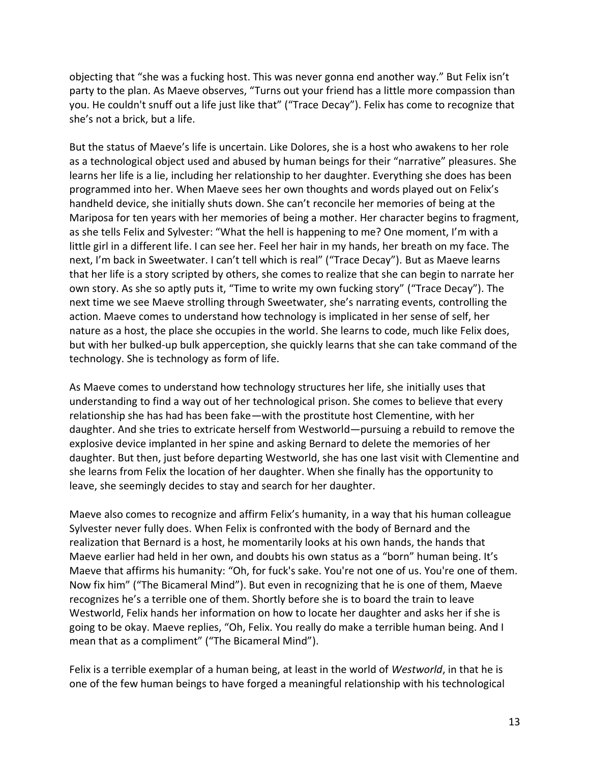objecting that "she was a fucking host. This was never gonna end another way." But Felix isn't party to the plan. As Maeve observes, "Turns out your friend has a little more compassion than you. He couldn't snuff out a life just like that" ("Trace Decay"). Felix has come to recognize that she's not a brick, but a life.

But the status of Maeve's life is uncertain. Like Dolores, she is a host who awakens to her role as a technological object used and abused by human beings for their "narrative" pleasures. She learns her life is a lie, including her relationship to her daughter. Everything she does has been programmed into her. When Maeve sees her own thoughts and words played out on Felix's handheld device, she initially shuts down. She can't reconcile her memories of being at the Mariposa for ten years with her memories of being a mother. Her character begins to fragment, as she tells Felix and Sylvester: "What the hell is happening to me? One moment, I'm with a little girl in a different life. I can see her. Feel her hair in my hands, her breath on my face. The next, I'm back in Sweetwater. I can't tell which is real" ("Trace Decay"). But as Maeve learns that her life is a story scripted by others, she comes to realize that she can begin to narrate her own story. As she so aptly puts it, "Time to write my own fucking story" ("Trace Decay"). The next time we see Maeve strolling through Sweetwater, she's narrating events, controlling the action. Maeve comes to understand how technology is implicated in her sense of self, her nature as a host, the place she occupies in the world. She learns to code, much like Felix does, but with her bulked-up bulk apperception, she quickly learns that she can take command of the technology. She is technology as form of life.

As Maeve comes to understand how technology structures her life, she initially uses that understanding to find a way out of her technological prison. She comes to believe that every relationship she has had has been fake—with the prostitute host Clementine, with her daughter. And she tries to extricate herself from Westworld—pursuing a rebuild to remove the explosive device implanted in her spine and asking Bernard to delete the memories of her daughter. But then, just before departing Westworld, she has one last visit with Clementine and she learns from Felix the location of her daughter. When she finally has the opportunity to leave, she seemingly decides to stay and search for her daughter.

Maeve also comes to recognize and affirm Felix's humanity, in a way that his human colleague Sylvester never fully does. When Felix is confronted with the body of Bernard and the realization that Bernard is a host, he momentarily looks at his own hands, the hands that Maeve earlier had held in her own, and doubts his own status as a "born" human being. It's Maeve that affirms his humanity: "Oh, for fuck's sake. You're not one of us. You're one of them. Now fix him" ("The Bicameral Mind"). But even in recognizing that he is one of them, Maeve recognizes he's a terrible one of them. Shortly before she is to board the train to leave Westworld, Felix hands her information on how to locate her daughter and asks her if she is going to be okay. Maeve replies, "Oh, Felix. You really do make a terrible human being. And I mean that as a compliment" ("The Bicameral Mind").

Felix is a terrible exemplar of a human being, at least in the world of *Westworld*, in that he is one of the few human beings to have forged a meaningful relationship with his technological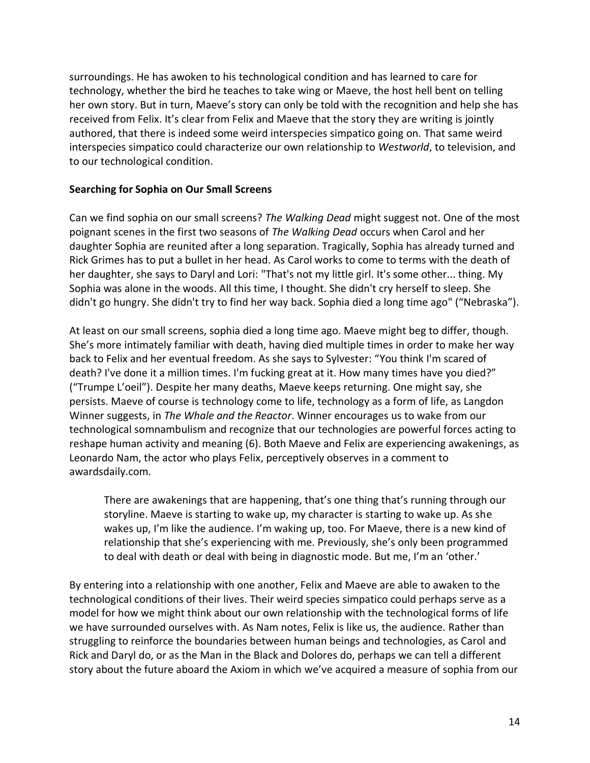surroundings. He has awoken to his technological condition and has learned to care for technology, whether the bird he teaches to take wing or Maeve, the host hell bent on telling her own story. But in turn, Maeve's story can only be told with the recognition and help she has received from Felix. It's clear from Felix and Maeve that the story they are writing is jointly authored, that there is indeed some weird interspecies simpatico going on. That same weird interspecies simpatico could characterize our own relationship to *Westworld*, to television, and to our technological condition.

#### **Searching for Sophia on Our Small Screens**

Can we find sophia on our small screens? *The Walking Dead* might suggest not. One of the most poignant scenes in the first two seasons of *The Walking Dead* occurs when Carol and her daughter Sophia are reunited after a long separation. Tragically, Sophia has already turned and Rick Grimes has to put a bullet in her head. As Carol works to come to terms with the death of her daughter, she says to Daryl and Lori: "That's not my little girl. It's some other... thing. My Sophia was alone in the woods. All this time, I thought. She didn't cry herself to sleep. She didn't go hungry. She didn't try to find her way back. Sophia died a long time ago" ("Nebraska").

At least on our small screens, sophia died a long time ago. Maeve might beg to differ, though. She's more intimately familiar with death, having died multiple times in order to make her way back to Felix and her eventual freedom. As she says to Sylvester: "You think I'm scared of death? I've done it a million times. I'm fucking great at it. How many times have you died?" ("Trumpe L'oeil"). Despite her many deaths, Maeve keeps returning. One might say, she persists. Maeve of course is technology come to life, technology as a form of life, as Langdon Winner suggests, in *The Whale and the Reactor*. Winner encourages us to wake from our technological somnambulism and recognize that our technologies are powerful forces acting to reshape human activity and meaning (6). Both Maeve and Felix are experiencing awakenings, as Leonardo Nam, the actor who plays Felix, perceptively observes in a comment to awardsdaily.com.

There are awakenings that are happening, that's one thing that's running through our storyline. Maeve is starting to wake up, my character is starting to wake up. As she wakes up, I'm like the audience. I'm waking up, too. For Maeve, there is a new kind of relationship that she's experiencing with me. Previously, she's only been programmed to deal with death or deal with being in diagnostic mode. But me, I'm an 'other.'

By entering into a relationship with one another, Felix and Maeve are able to awaken to the technological conditions of their lives. Their weird species simpatico could perhaps serve as a model for how we might think about our own relationship with the technological forms of life we have surrounded ourselves with. As Nam notes, Felix is like us, the audience. Rather than struggling to reinforce the boundaries between human beings and technologies, as Carol and Rick and Daryl do, or as the Man in the Black and Dolores do, perhaps we can tell a different story about the future aboard the Axiom in which we've acquired a measure of sophia from our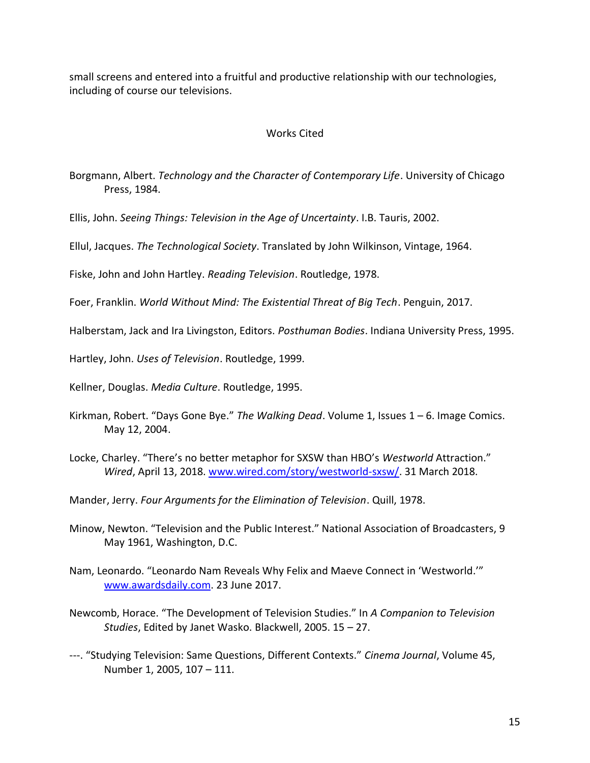small screens and entered into a fruitful and productive relationship with our technologies, including of course our televisions.

### Works Cited

Borgmann, Albert. *Technology and the Character of Contemporary Life*. University of Chicago Press, 1984.

Ellis, John. *Seeing Things: Television in the Age of Uncertainty*. I.B. Tauris, 2002.

Ellul, Jacques. *The Technological Society*. Translated by John Wilkinson, Vintage, 1964.

Fiske, John and John Hartley. *Reading Television*. Routledge, 1978.

Foer, Franklin. *World Without Mind: The Existential Threat of Big Tech*. Penguin, 2017.

Halberstam, Jack and Ira Livingston, Editors. *Posthuman Bodies*. Indiana University Press, 1995.

Hartley, John. *Uses of Television*. Routledge, 1999.

Kellner, Douglas. *Media Culture*. Routledge, 1995.

- Kirkman, Robert. "Days Gone Bye." *The Walking Dead*. Volume 1, Issues 1 6. Image Comics. May 12, 2004.
- Locke, Charley. "There's no better metaphor for SXSW than HBO's *Westworld* Attraction." *Wired*, April 13, 2018. [www.wired.com/story/westworld-sxsw/.](http://www.wired.com/story/westworld-sxsw/) 31 March 2018.

Mander, Jerry. *Four Arguments for the Elimination of Television*. Quill, 1978.

- Minow, Newton. "Television and the Public Interest." National Association of Broadcasters, 9 May 1961, Washington, D.C.
- Nam, Leonardo. "Leonardo Nam Reveals Why Felix and Maeve Connect in 'Westworld.'" [www.awardsdaily.com.](http://www.awardsdaily.com/) 23 June 2017.
- Newcomb, Horace. "The Development of Television Studies." In *A Companion to Television Studies*, Edited by Janet Wasko. Blackwell, 2005. 15 – 27.
- ---. "Studying Television: Same Questions, Different Contexts." *Cinema Journal*, Volume 45, Number 1, 2005, 107 – 111.